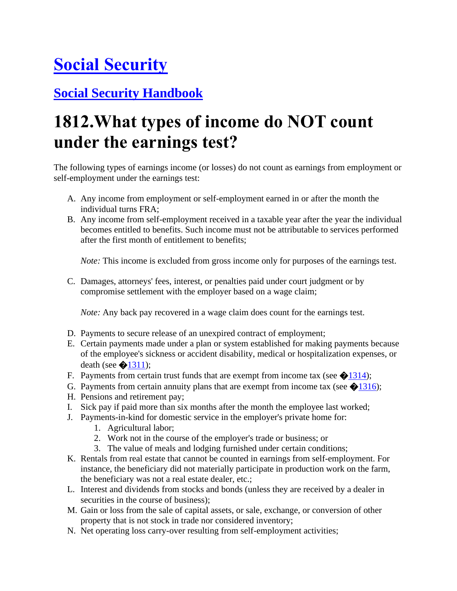## **[Social Security](https://www.ssa.gov/)**

## **[Social Security Handbook](https://www.ssa.gov/OP_Home/handbook/handbook.html)**

## **1812.What types of income do NOT count under the earnings test?**

The following types of earnings income (or losses) do not count as earnings from employment or self-employment under the earnings test:

- A. Any income from employment or self-employment earned in or after the month the individual turns FRA;
- B. Any income from self-employment received in a taxable year after the year the individual becomes entitled to benefits. Such income must not be attributable to services performed after the first month of entitlement to benefits;

*Note:* This income is excluded from gross income only for purposes of the earnings test.

C. Damages, attorneys' fees, interest, or penalties paid under court judgment or by compromise settlement with the employer based on a wage claim;

*Note:* Any back pay recovered in a wage claim does count for the earnings test.

- D. Payments to secure release of an unexpired contract of employment;
- E. Certain payments made under a plan or system established for making payments because of the employee's sickness or accident disability, medical or hospitalization expenses, or death (see  $\bigotimes 1311$ );
- F. Payments from certain trust funds that are exempt from income tax (see  $\bigotimes$ [1314\)](https://www.ssa.gov/OP_Home/handbook/handbook.13/handbook-1314.html);
- G. Payments from certain annuity plans that are exempt from income tax (see  $\bigotimes 1316$ );
- H. Pensions and retirement pay;
- I. Sick pay if paid more than six months after the month the employee last worked;
- J. Payments-in-kind for domestic service in the employer's private home for:
	- 1. Agricultural labor;
	- 2. Work not in the course of the employer's trade or business; or
	- 3. The value of meals and lodging furnished under certain conditions;
- K. Rentals from real estate that cannot be counted in earnings from self-employment. For instance, the beneficiary did not materially participate in production work on the farm, the beneficiary was not a real estate dealer, etc.;
- L. Interest and dividends from stocks and bonds (unless they are received by a dealer in securities in the course of business);
- M. Gain or loss from the sale of capital assets, or sale, exchange, or conversion of other property that is not stock in trade nor considered inventory;
- N. Net operating loss carry-over resulting from self-employment activities;